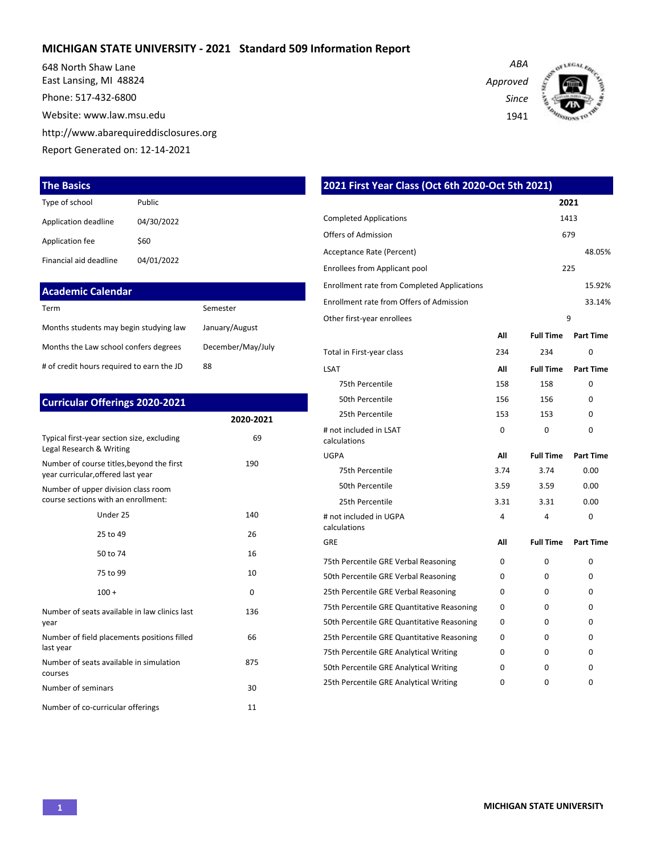#### **MICHIGAN STATE UNIVERSITY - 2021 Standard 509 Information Report**

648 North Shaw Lane East Lansing, MI 48824

Phone: 517-432-6800

Website: www.law.msu.edu

http://www.abarequireddisclosures.org

Report Generated on: 12-14-2021

#### **The Basics**

| Type of school         | Public     |
|------------------------|------------|
| Application deadline   | 04/30/2022 |
| Application fee        | \$60       |
| Financial aid deadline | 04/01/2022 |

| <b>Academic Calendar</b>                  |                   |
|-------------------------------------------|-------------------|
| Term                                      | Semester          |
| Months students may begin studying law    | January/August    |
| Months the Law school confers degrees     | December/May/July |
| # of credit hours required to earn the JD | 88                |

| <b>Curricular Offerings 2020-2021</b>                                           |           |
|---------------------------------------------------------------------------------|-----------|
|                                                                                 | 2020-2021 |
| Typical first-year section size, excluding<br>Legal Research & Writing          | 69        |
| Number of course titles, beyond the first<br>year curricular, offered last year | 190       |
| Number of upper division class room<br>course sections with an enrollment:      |           |
| Under 25                                                                        | 140       |
| 25 to 49                                                                        | 26        |
| 50 to 74                                                                        | 16        |
| 75 to 99                                                                        | 10        |
| $100 +$                                                                         | 0         |
| Number of seats available in law clinics last<br>year                           | 136       |
| Number of field placements positions filled<br>last year                        | 66        |
| Number of seats available in simulation<br>courses                              | 875       |
| Number of seminars                                                              | 30        |
| Number of co-curricular offerings                                               | 11        |

| 2021 First Year Class (Oct 6th 2020-Oct 5th 2021)  |      |                  |                  |
|----------------------------------------------------|------|------------------|------------------|
|                                                    |      |                  | 2021             |
| <b>Completed Applications</b>                      |      |                  | 1413             |
| Offers of Admission                                |      |                  | 679              |
| Acceptance Rate (Percent)                          |      |                  | 48.05%           |
| <b>Enrollees from Applicant pool</b>               |      |                  | 225              |
| <b>Enrollment rate from Completed Applications</b> |      |                  | 15.92%           |
| Enrollment rate from Offers of Admission           |      |                  | 33.14%           |
| Other first-year enrollees                         |      |                  | 9                |
|                                                    | Αll  | <b>Full Time</b> | <b>Part Time</b> |
| Total in First-year class                          | 234  | 234              | 0                |
| LSAT                                               | All  | <b>Full Time</b> | <b>Part Time</b> |
| 75th Percentile                                    | 158  | 158              | $\Omega$         |
| 50th Percentile                                    | 156  | 156              | O                |
| 25th Percentile                                    | 153  | 153              | 0                |
| # not included in LSAT<br>calculations             | 0    | 0                | 0                |
| UGPA                                               | All  | <b>Full Time</b> | <b>Part Time</b> |
| 75th Percentile                                    | 3.74 | 3.74             | 0.00             |
| 50th Percentile                                    | 3.59 | 3.59             | 0.00             |
| 25th Percentile                                    | 3.31 | 3.31             | 0.00             |
| # not included in UGPA<br>calculations             | 4    | 4                | 0                |
| GRE                                                | All  | <b>Full Time</b> | <b>Part Time</b> |
| 75th Percentile GRE Verbal Reasoning               | 0    | 0                | 0                |
| 50th Percentile GRE Verbal Reasoning               | 0    | 0                | 0                |
| 25th Percentile GRE Verbal Reasoning               | 0    | 0                | 0                |
| 75th Percentile GRE Quantitative Reasoning         | 0    | 0                | 0                |
| 50th Percentile GRE Quantitative Reasoning         | 0    | 0                | 0                |
| 25th Percentile GRE Quantitative Reasoning         | 0    | 0                | 0                |
| 75th Percentile GRE Analytical Writing             | 0    | 0                | 0                |
| 50th Percentile GRE Analytical Writing             | 0    | 0                | 0                |

25th Percentile GRE Analytical Writing  $0$  0 0 0 0

*Approved Since*

*ABA*

1941

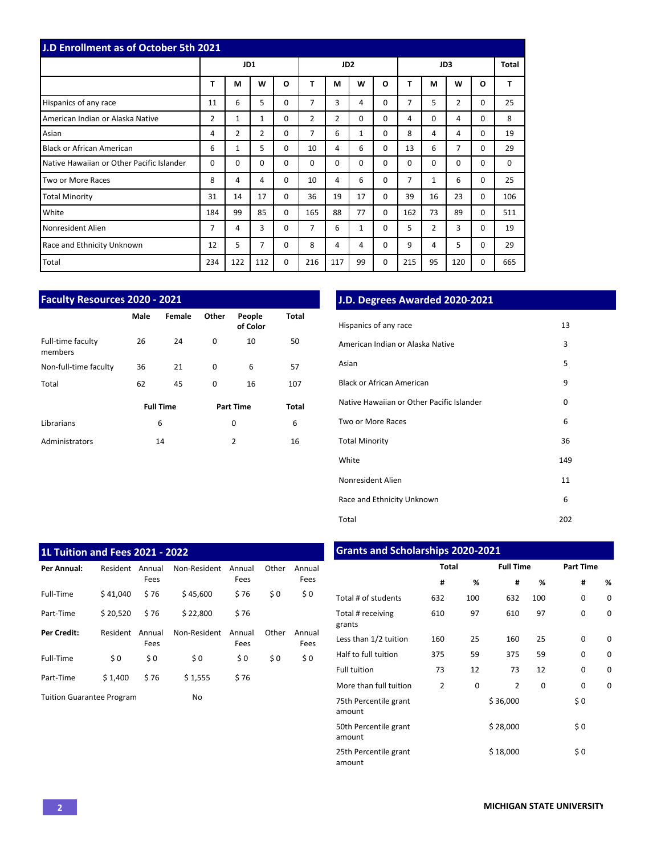| <b>J.D Enrollment as of October 5th 2021</b> |          |                |                |          |          |                 |              |   |          |          |             |          |       |
|----------------------------------------------|----------|----------------|----------------|----------|----------|-----------------|--------------|---|----------|----------|-------------|----------|-------|
|                                              |          | JD1            |                |          |          | JD <sub>2</sub> |              |   | JD3      |          |             |          | Total |
|                                              | T        | M              | W              | $\Omega$ | T        | M               | W            | O | т        | М        | W           | O        | T     |
| Hispanics of any race                        | 11       | 6              | 5              | $\Omega$ | 7        | 3               | 4            | 0 | 7        | 5        | 2           | 0        | 25    |
| American Indian or Alaska Native             | 2        | $\mathbf{1}$   | $\mathbf{1}$   | $\Omega$ | 2        | $\overline{2}$  | $\Omega$     | 0 | 4        | $\Omega$ | 4           | $\Omega$ | 8     |
| Asian                                        | 4        | $\overline{2}$ | $\overline{2}$ | $\Omega$ | 7        | 6               | $\mathbf{1}$ | 0 | 8        | 4        | 4           | 0        | 19    |
| <b>Black or African American</b>             | 6        | 1              | 5              | $\Omega$ | 10       | 4               | 6            | 0 | 13       | 6        | 7           | 0        | 29    |
| Native Hawaiian or Other Pacific Islander    | $\Omega$ | 0              | $\Omega$       | $\Omega$ | $\Omega$ | $\Omega$        | $\Omega$     | 0 | $\Omega$ | $\Omega$ | $\mathbf 0$ | 0        | 0     |
| Two or More Races                            | 8        | 4              | 4              | $\Omega$ | 10       | 4               | 6            | 0 | 7        | 1        | 6           | 0        | 25    |
| <b>Total Minority</b>                        | 31       | 14             | 17             | $\Omega$ | 36       | 19              | 17           | 0 | 39       | 16       | 23          | $\Omega$ | 106   |
| White                                        | 184      | 99             | 85             | $\Omega$ | 165      | 88              | 77           | 0 | 162      | 73       | 89          | 0        | 511   |
| Nonresident Alien                            | 7        | 4              | 3              | $\Omega$ | 7        | 6               | $\mathbf{1}$ | 0 | 5        | 2        | 3           | 0        | 19    |
| Race and Ethnicity Unknown                   | 12       | 5              | 7              | 0        | 8        | 4               | 4            | 0 | 9        | 4        | 5           | 0        | 29    |
| Total                                        | 234      | 122            | 112            | 0        | 216      | 117             | 99           | 0 | 215      | 95       | 120         | 0        | 665   |

| <b>Faculty Resources 2020 - 2021</b> |      |                  |          |                  |       |  |  |  |  |  |  |  |
|--------------------------------------|------|------------------|----------|------------------|-------|--|--|--|--|--|--|--|
|                                      | Male | Female           | Other    | <b>Total</b>     |       |  |  |  |  |  |  |  |
| Full-time faculty<br>members         | 26   | 24               | 0        | 10               | 50    |  |  |  |  |  |  |  |
| Non-full-time faculty                | 36   | 21               | 0        | 6                | 57    |  |  |  |  |  |  |  |
| Total                                | 62   | 45               | $\Omega$ | 16               | 107   |  |  |  |  |  |  |  |
|                                      |      | <b>Full Time</b> |          | <b>Part Time</b> | Total |  |  |  |  |  |  |  |
| Librarians                           |      | 6                |          | 0                | 6     |  |  |  |  |  |  |  |
| Administrators                       |      | 14               |          | $\overline{2}$   | 16    |  |  |  |  |  |  |  |

## **J.D. Degrees Awarded 2020-2021**

| Hispanics of any race                     | 13  |
|-------------------------------------------|-----|
| American Indian or Alaska Native          | 3   |
| Asian                                     | 5   |
| Black or African American                 | 9   |
| Native Hawaiian or Other Pacific Islander | 0   |
| Two or More Races                         | 6   |
| <b>Total Minority</b>                     | 36  |
| White                                     | 149 |
| Nonresident Alien                         | 11  |
| Race and Ethnicity Unknown                | 6   |
| Total                                     | 202 |

| <b>1L Tuition and Fees 2021 - 2022</b> |          |                |              |                |       |                |
|----------------------------------------|----------|----------------|--------------|----------------|-------|----------------|
| Per Annual:                            | Resident | Annual<br>Fees | Non-Resident | Annual<br>Fees | Other | Annual<br>Fees |
| Full-Time                              | \$41.040 | \$76           | \$45,600     | \$76           | \$0   | \$0            |
| Part-Time                              | \$20.520 | \$76           | \$22,800     | \$76           |       |                |
| <b>Per Credit:</b>                     | Resident | Annual<br>Fees | Non-Resident | Annual<br>Fees | Other | Annual<br>Fees |
| Full-Time                              | \$0      | \$0            | \$0          | \$0            | \$0   | \$0            |
| Part-Time                              | \$1,400  | \$76           | \$1,555      | \$76           |       |                |
| <b>Tuition Guarantee Program</b>       |          |                | No           |                |       |                |

## **Grants and Scholarships 2020-2021**

|                                 | <b>Total</b>   |     | <b>Full Time</b> |          | <b>Part Time</b> |   |
|---------------------------------|----------------|-----|------------------|----------|------------------|---|
|                                 | #              | %   | #                | %        | #                | % |
| Total # of students             | 632            | 100 | 632              | 100      | 0                | 0 |
| Total # receiving<br>grants     | 610            | 97  | 610              | 97       | 0                | 0 |
| Less than 1/2 tuition           | 160            | 25  | 160              | 25       | $\Omega$         | 0 |
| Half to full tuition            | 375            | 59  | 375              | 59       | 0                | 0 |
| <b>Full tuition</b>             | 73             | 12  | 73               | 12       | 0                | 0 |
| More than full tuition          | $\overline{2}$ | 0   | 2                | $\Omega$ | 0                | 0 |
| 75th Percentile grant<br>amount |                |     | \$36,000         |          | \$0              |   |
| 50th Percentile grant<br>amount |                |     | \$28,000         |          | \$0              |   |
| 25th Percentile grant<br>amount |                |     | \$18,000         |          | \$0              |   |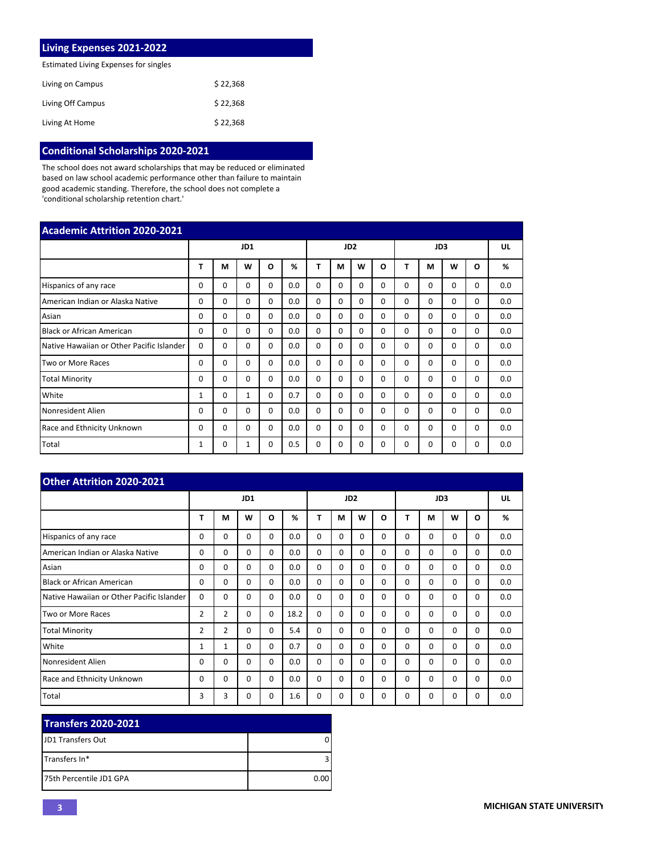| <b>Living Expenses 2021-2022</b>      |          |
|---------------------------------------|----------|
| Estimated Living Expenses for singles |          |
| Living on Campus                      | \$22,368 |
| Living Off Campus                     | \$22,368 |
| Living At Home                        | \$22.368 |

# **Conditional Scholarships 2020-2021**

The school does not award scholarships that may be reduced or eliminated based on law school academic performance other than failure to maintain good academic standing. Therefore, the school does not complete a 'conditional scholarship retention chart.'

| <b>Academic Attrition 2020-2021</b>       |              |          |          |          |     |          |                 |          |          |          |                 |          |          |     |
|-------------------------------------------|--------------|----------|----------|----------|-----|----------|-----------------|----------|----------|----------|-----------------|----------|----------|-----|
|                                           |              |          | JD1      |          |     |          | JD <sub>2</sub> |          |          |          | JD <sub>3</sub> |          |          | UL  |
|                                           | т            | м        | W        | O        | %   | Т        | м               | W        | O        | т        | M               | W        | O        | %   |
| Hispanics of any race                     | 0            | 0        | 0        | $\Omega$ | 0.0 | $\Omega$ | 0               | $\Omega$ | $\Omega$ | 0        | $\Omega$        | 0        | 0        | 0.0 |
| American Indian or Alaska Native          | 0            | $\Omega$ | $\Omega$ | $\Omega$ | 0.0 | $\Omega$ | $\Omega$        | $\Omega$ | $\Omega$ | $\Omega$ | $\Omega$        | 0        | $\Omega$ | 0.0 |
| Asian                                     | 0            | $\Omega$ | $\Omega$ | $\Omega$ | 0.0 | $\Omega$ | $\Omega$        | $\Omega$ | 0        | $\Omega$ | $\Omega$        | $\Omega$ | $\Omega$ | 0.0 |
| <b>Black or African American</b>          | 0            | $\Omega$ | $\Omega$ | $\Omega$ | 0.0 | $\Omega$ | $\Omega$        | $\Omega$ | $\Omega$ | $\Omega$ | $\Omega$        | $\Omega$ | $\Omega$ | 0.0 |
| Native Hawaiian or Other Pacific Islander | $\Omega$     | $\Omega$ | $\Omega$ | $\Omega$ | 0.0 | $\Omega$ | $\Omega$        | $\Omega$ | $\Omega$ | $\Omega$ | $\Omega$        | $\Omega$ | $\Omega$ | 0.0 |
| Two or More Races                         | 0            | $\Omega$ | $\Omega$ | $\Omega$ | 0.0 | $\Omega$ | $\Omega$        | $\Omega$ | $\Omega$ | $\Omega$ | $\Omega$        | 0        | $\Omega$ | 0.0 |
| <b>Total Minority</b>                     | 0            | $\Omega$ | $\Omega$ | $\Omega$ | 0.0 | $\Omega$ | $\Omega$        | $\Omega$ | $\Omega$ | $\Omega$ | $\Omega$        | 0        | $\Omega$ | 0.0 |
| White                                     | 1            | $\Omega$ | 1        | $\Omega$ | 0.7 | $\Omega$ | 0               | $\Omega$ | 0        | $\Omega$ | $\Omega$        | 0        | $\Omega$ | 0.0 |
| Nonresident Alien                         | 0            | $\Omega$ | $\Omega$ | $\Omega$ | 0.0 | $\Omega$ | $\Omega$        | $\Omega$ | 0        | $\Omega$ | $\Omega$        | $\Omega$ | $\Omega$ | 0.0 |
| Race and Ethnicity Unknown                | 0            | $\Omega$ | $\Omega$ | $\Omega$ | 0.0 | $\Omega$ | $\Omega$        | $\Omega$ | $\Omega$ | $\Omega$ | $\Omega$        | $\Omega$ | $\Omega$ | 0.0 |
| Total                                     | $\mathbf{1}$ | $\Omega$ | 1        | $\Omega$ | 0.5 | $\Omega$ | 0               | $\Omega$ | $\Omega$ | $\Omega$ | $\Omega$        | 0        | $\Omega$ | 0.0 |

| <b>Other Attrition 2020-2021</b>          |                |                |          |          |      |          |          |                 |          |          |          |             |          |     |
|-------------------------------------------|----------------|----------------|----------|----------|------|----------|----------|-----------------|----------|----------|----------|-------------|----------|-----|
|                                           |                |                | JD1      |          |      |          |          | JD <sub>2</sub> |          |          | JD3      |             |          | UL  |
|                                           | т              | M              | W        | O        | %    | Т        | М        | W               | O        | т        | М        | W           | O        | %   |
| Hispanics of any race                     | 0              | $\Omega$       | $\Omega$ | $\Omega$ | 0.0  | $\Omega$ | $\Omega$ | $\Omega$        | $\Omega$ | 0        | $\Omega$ | 0           | $\Omega$ | 0.0 |
| American Indian or Alaska Native          | $\Omega$       | $\Omega$       | $\Omega$ | $\Omega$ | 0.0  | $\Omega$ | $\Omega$ | $\Omega$        | $\Omega$ | $\Omega$ | $\Omega$ | $\Omega$    | $\Omega$ | 0.0 |
| Asian                                     | $\Omega$       | $\Omega$       | $\Omega$ | $\Omega$ | 0.0  | $\Omega$ | $\Omega$ | $\Omega$        | $\Omega$ | $\Omega$ | $\Omega$ | $\Omega$    | $\Omega$ | 0.0 |
| <b>Black or African American</b>          | $\Omega$       | $\Omega$       | $\Omega$ | $\Omega$ | 0.0  | $\Omega$ | $\Omega$ | $\Omega$        | $\Omega$ | $\Omega$ | $\Omega$ | $\Omega$    | $\Omega$ | 0.0 |
| Native Hawaiian or Other Pacific Islander | $\Omega$       | $\Omega$       | $\Omega$ | $\Omega$ | 0.0  | 0        | $\Omega$ | $\Omega$        | $\Omega$ | $\Omega$ | $\Omega$ | $\Omega$    | $\Omega$ | 0.0 |
| Two or More Races                         | 2              | $\overline{2}$ | 0        | $\Omega$ | 18.2 | $\Omega$ | $\Omega$ | $\Omega$        | $\Omega$ | $\Omega$ | $\Omega$ | 0           | $\Omega$ | 0.0 |
| <b>Total Minority</b>                     | $\overline{2}$ | $\overline{2}$ | $\Omega$ | $\Omega$ | 5.4  | $\Omega$ | $\Omega$ | $\Omega$        | $\Omega$ | 0        | $\Omega$ | $\Omega$    | $\Omega$ | 0.0 |
| White                                     | $\mathbf{1}$   | 1              | $\Omega$ | $\Omega$ | 0.7  | $\Omega$ | $\Omega$ | $\Omega$        | $\Omega$ | $\Omega$ | $\Omega$ | $\mathbf 0$ | $\Omega$ | 0.0 |
| Nonresident Alien                         | 0              | $\Omega$       | $\Omega$ | $\Omega$ | 0.0  | 0        | $\Omega$ | $\Omega$        | $\Omega$ | 0        | $\Omega$ | $\Omega$    | $\Omega$ | 0.0 |
| <b>Race and Ethnicity Unknown</b>         | 0              | $\Omega$       | $\Omega$ | $\Omega$ | 0.0  | $\Omega$ | $\Omega$ | $\Omega$        | $\Omega$ | $\Omega$ | $\Omega$ | $\Omega$    | $\Omega$ | 0.0 |
| Total                                     | 3              | 3              | 0        | $\Omega$ | 1.6  | $\Omega$ | 0        | 0               | $\Omega$ | 0        | 0        | 0           | 0        | 0.0 |

| <b>Transfers 2020-2021</b> |      |
|----------------------------|------|
| <b>IJD1 Transfers Out</b>  |      |
| Transfers In*              |      |
| 175th Percentile JD1 GPA   | 0.00 |